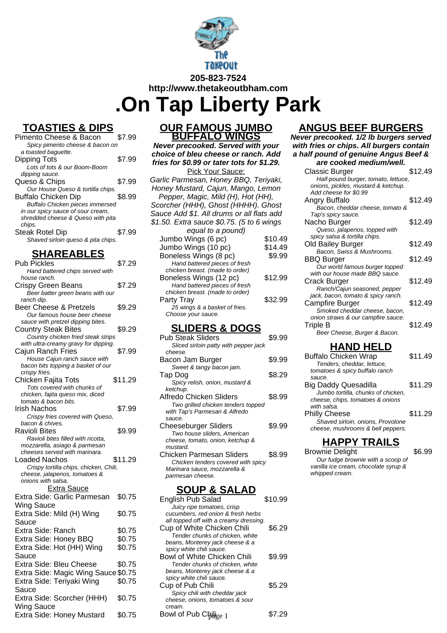

## **TOASTIES & DIPS**

| Pimento Cheese & Bacon             | 7.99   |
|------------------------------------|--------|
| Spicy pimento cheese & bacon on    |        |
| a toasted baquette.                |        |
| Dipping Tots                       | \$7.99 |
| Lots of tots & our Boom-Boom       |        |
| dipping sauce.                     |        |
| Queso & Chips                      | \$7.99 |
| Our House Queso & tortilla chips.  |        |
| <b>Buffalo Chicken Dip</b>         | \$8.99 |
| Buffalo Chicken pieces immersed    |        |
| in our spicy sauce of sour cream,  |        |
| shredded cheese & Queso with pita  |        |
| chips.                             |        |
| <b>Steak Rotel Dip</b>             | \$7.99 |
| Shaved sirloin queso & pita chips. |        |

#### **SHAREABLES**

| <b>Pub Pickles</b>                     | \$7.29  |
|----------------------------------------|---------|
| Hand battered chips served with        |         |
| house ranch.                           |         |
| Crispy Green Beans                     | \$7.29  |
| Beer batter green beans with our       |         |
| ranch dip.                             |         |
| Beer Cheese & Pretzels                 | \$9.29  |
| Our famous house beer cheese           |         |
| sauce with pretzel dipping bites.      |         |
| <b>Country Steak Bites</b>             | \$9.29  |
| Country chicken fried steak strips     |         |
| with ultra-creamy gravy for dipping.   |         |
|                                        |         |
| <b>Cajun Ranch Fries</b>               | \$7.99  |
| House Cajun ranch sauce with           |         |
| bacon bits topping a basket of our     |         |
| crispy fries.                          |         |
| Chicken Fajita Tots                    | \$11.29 |
| Tots covered with chunks of            |         |
| chicken, fajita queso mix, diced       |         |
| tomato & bacon bits.                   |         |
| Irish Nachos                           | \$7.99  |
| Crispy fries covered with Queso,       |         |
| bacon & chives.                        |         |
| Ravioli Bites                          | \$9.99  |
| Ravioli bites filled with ricotta,     |         |
| mozzarella, asiago & parmesan          |         |
| cheeses served with marinara.          |         |
| Loaded Nachos                          | \$11.29 |
| Crispy tortilla chips, chicken, Chili, |         |
| cheese, jalapenos, tomatoes &          |         |
| onions with salsa.                     |         |
| <b>Extra Sauce</b>                     |         |
| Extra Side: Garlic Parmesan            | \$0.75  |
|                                        |         |
| Wing Sauce                             |         |
| Extra Side: Mild (H) Wing              | \$0.75  |
| Sauce                                  |         |
| Extra Side: Ranch                      | \$0.75  |
| Extra Side: Honey BBQ                  | \$0.75  |
| Extra Side: Hot (HH) Wing              | \$0.75  |
|                                        |         |
| Sauce                                  |         |
| Extra Side: Bleu Cheese                | \$0.75  |
| Extra Side: Magic Wing Sauce \$0.75    |         |
| Extra Side: Teriyaki Wing              | \$0.75  |
|                                        |         |
| Sauce                                  |         |
| Extra Side: Scorcher (HHH)             | \$0.75  |
| Wing Sauce                             |         |
| Extra Side: Honey Mustard              | \$0.75  |
|                                        |         |

#### **OUR FAMOUS JUMBO BUFFALO WINGS**

**Never precooked. Served with your choice of bleu cheese or ranch. Add fries for \$0.99 or tater tots for \$1.29.**

**Pick Your Sauce:** Garlic Parmesan, Honey BBQ, Teriyaki, Honey Mustard, Cajun, Mango, Lemon Pepper, Magic, Mild (H), Hot (HH), Scorcher (HHH), Ghost (HHHH). Ghost Sauce Add \$1. All drums or all flats add \$1.50. Extra sauce \$0.75. (5 to 6 wings equal to a pound) Jumbo Wings (6 pc) \$10.49 Jumbo Wings (10 pc) \$14.49 Boneless Wings (8 pc) \$9.99 Hand battered pieces of fresh chicken breast. (made to order) Boneless Wings (12 pc) \$12.99 Hand battered pieces of fresh chicken breast. (made to order) Party Tray \$32.99 25 wings & a basket of fries. Choose your sauce.

#### **SLIDERS & DOGS**

| Pub Steak Sliders                     | \$9.99 |
|---------------------------------------|--------|
| Sliced sirloin patty with pepper jack |        |
| cheese.                               |        |
| Bacon Jam Burger                      | \$9.99 |
| Sweet & tangy bacon jam.              |        |
| Tap Dog                               | \$8.29 |
| Spicy relish, onion, mustard &        |        |
| ketchup.                              |        |
| Alfredo Chicken Sliders               | \$8.99 |
| Two grilled chicken tenders topped    |        |
| with Tap's Parmesan & Alfredo         |        |
| sauce.                                |        |
| Cheeseburger Sliders                  | \$9.99 |
| Two house sliders, American           |        |
| cheese, tomato, onion, ketchup &      |        |
| mustard.                              |        |
| Chicken Parmesan Sliders              | \$8.99 |
| Chicken tenders covered with spicy    |        |
| Marinara sauce, mozzarella &          |        |
| parmesan cheese.                      |        |

### **SOUP & SALAD**

| English Pub Salad                      | \$10.99 |
|----------------------------------------|---------|
| Juicy ripe tomatoes, crisp             |         |
| cucumbers, red onion & fresh herbs     |         |
| all topped off with a creamy dressing. |         |
| Cup of White Chicken Chili             | \$6.29  |
| Tender chunks of chicken, white        |         |
| beans, Monterey jack cheese & a        |         |
| spicy white chili sauce.               |         |
| Bowl of White Chicken Chili            | \$9.99  |
| Tender chunks of chicken, white        |         |
| beans, Monterey jack cheese & a        |         |
| spicy white chili sauce.               |         |
| Cup of Pub Chili                       | \$5.29  |
| Spicy chili with cheddar jack          |         |
| cheese, onions, tomatoes & sour        |         |
| cream.                                 |         |
| Bowl of Pub Chillige 1                 |         |

# **ANGUS BEEF BURGERS**

**Never precooked. 1/2 lb burgers served with fries or chips. All burgers contain a half pound of genuine Angus Beef & are cooked medium/well.**

| Classic Burger                      | \$12.49 |
|-------------------------------------|---------|
| Half-pound burger, tomato, lettuce, |         |
| onions, pickles, mustard & ketchup. |         |
| Add cheese for \$0.99               |         |
| Angry Buffalo                       | \$12.49 |
| Bacon, cheddar cheese, tomato &     |         |
| Tap's spicy sauce.                  |         |
| Nacho Burger                        | \$12.49 |
| Queso, jalapenos, topped with       |         |
| spicy salsa & tortilla chips.       |         |
| Old Bailey Burger                   | \$12.49 |
| Bacon, Swiss & Mushrooms.           |         |
| <b>BBQ Burger</b>                   | \$12.49 |
| Our world famous burger topped      |         |
| with our house made BBQ sauce.      |         |
| Crack Burger                        | \$12.49 |
| Ranch/Cajun seasoned, pepper        |         |
| jack, bacon, tomato & spicy ranch.  |         |
| Campfire Burger                     | \$12.49 |
| Smoked cheddar cheese, bacon,       |         |
| onion straws & our campfire sauce.  |         |
| Triple B                            | \$12.49 |
| Beer Cheese, Burger & Bacon.        |         |
|                                     |         |

# **HAND HELD**

| <b>Buffalo Chicken Wrap</b>        | \$11.49 |
|------------------------------------|---------|
| Tenders, cheddar, lettuce,         |         |
| tomatoes & spicy buffalo ranch     |         |
| sauce.                             |         |
| <b>Big Daddy Quesadilla</b>        | \$11.29 |
| Jumbo tortilla, chunks of chicken, |         |
| cheese, chips, tomatoes & onions   |         |
| with salsa.                        |         |
| <b>Philly Cheese</b>               | \$11.29 |
| Shaved sirloin, onions, Provolone  |         |
| cheese, mushrooms & bell peppers.  |         |
|                                    |         |

### **HAPPY TRAILS**

Brownie Delight 56.99 Our fudge brownie with a scoop of vanilla ice cream, chocolate syrup & whipped cream.